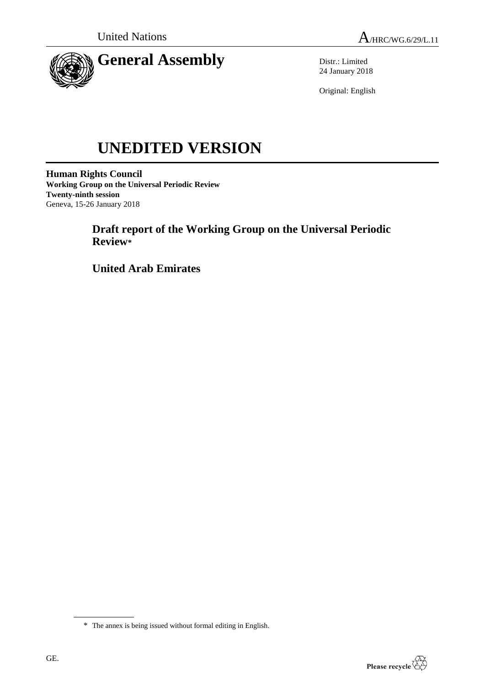

Distr.: Limited 24 January 2018

Original: English

# **UNEDITED VERSION**

**Human Rights Council Working Group on the Universal Periodic Review Twenty-ninth session** Geneva, 15-26 January 2018

> **Draft report of the Working Group on the Universal Periodic Review\***

**United Arab Emirates**



<sup>\*</sup> The annex is being issued without formal editing in English.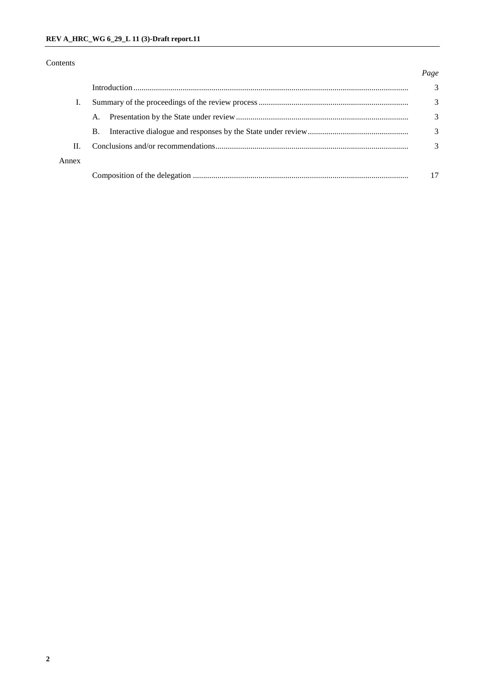# Contents

### *Page*

|       |           |  | 3 |
|-------|-----------|--|---|
|       |           |  | 3 |
|       |           |  | 3 |
|       | <b>B.</b> |  | 3 |
| Π.    |           |  |   |
| Annex |           |  |   |
|       |           |  |   |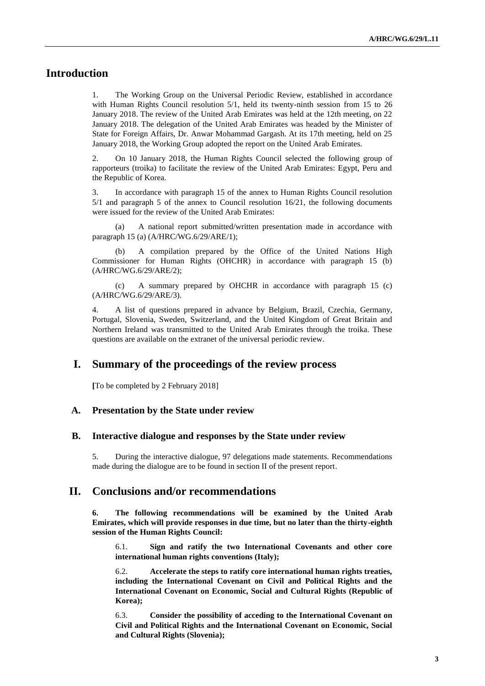# **Introduction**

1. The Working Group on the Universal Periodic Review, established in accordance with Human Rights Council resolution 5/1, held its twenty-ninth session from 15 to 26 January 2018. The review of the United Arab Emirates was held at the 12th meeting, on 22 January 2018. The delegation of the United Arab Emirates was headed by the Minister of State for Foreign Affairs, Dr. Anwar Mohammad Gargash. At its 17th meeting, held on 25 January 2018, the Working Group adopted the report on the United Arab Emirates.

2. On 10 January 2018, the Human Rights Council selected the following group of rapporteurs (troika) to facilitate the review of the United Arab Emirates: Egypt, Peru and the Republic of Korea.

3. In accordance with paragraph 15 of the annex to Human Rights Council resolution 5/1 and paragraph 5 of the annex to Council resolution 16/21, the following documents were issued for the review of the United Arab Emirates:

(a) A national report submitted/written presentation made in accordance with paragraph 15 (a) (A/HRC/WG.6/29/ARE/1);

(b) A compilation prepared by the Office of the United Nations High Commissioner for Human Rights (OHCHR) in accordance with paragraph 15 (b) (A/HRC/WG.6/29/ARE/2);

(c) A summary prepared by OHCHR in accordance with paragraph 15 (c) (A/HRC/WG.6/29/ARE/3).

4. A list of questions prepared in advance by Belgium, Brazil, Czechia, Germany, Portugal, Slovenia, Sweden, Switzerland, and the United Kingdom of Great Britain and Northern Ireland was transmitted to the United Arab Emirates through the troika. These questions are available on the extranet of the universal periodic review.

# **I. Summary of the proceedings of the review process**

**[**To be completed by 2 February 2018]

#### **A. Presentation by the State under review**

#### **B. Interactive dialogue and responses by the State under review**

5. During the interactive dialogue, 97 delegations made statements. Recommendations made during the dialogue are to be found in section II of the present report.

# **II. Conclusions and/or recommendations**

**6. The following recommendations will be examined by the United Arab Emirates, which will provide responses in due time, but no later than the thirty-eighth session of the Human Rights Council:**

6.1. **Sign and ratify the two International Covenants and other core international human rights conventions (Italy);**

6.2. **Accelerate the steps to ratify core international human rights treaties, including the International Covenant on Civil and Political Rights and the International Covenant on Economic, Social and Cultural Rights (Republic of Korea);**

6.3. **Consider the possibility of acceding to the International Covenant on Civil and Political Rights and the International Covenant on Economic, Social and Cultural Rights (Slovenia);**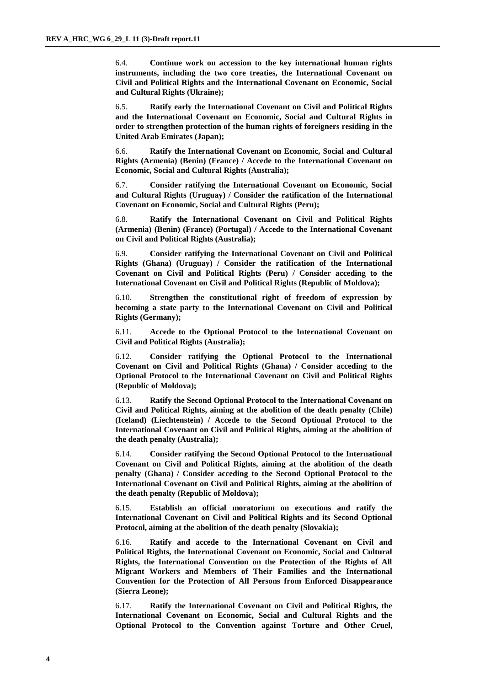6.4. **Continue work on accession to the key international human rights instruments, including the two core treaties, the International Covenant on Civil and Political Rights and the International Covenant on Economic, Social and Cultural Rights (Ukraine);**

6.5. **Ratify early the International Covenant on Civil and Political Rights and the International Covenant on Economic, Social and Cultural Rights in order to strengthen protection of the human rights of foreigners residing in the United Arab Emirates (Japan);**

6.6. **Ratify the International Covenant on Economic, Social and Cultural Rights (Armenia) (Benin) (France) / Accede to the International Covenant on Economic, Social and Cultural Rights (Australia);**

6.7. **Consider ratifying the International Covenant on Economic, Social and Cultural Rights (Uruguay) / Consider the ratification of the International Covenant on Economic, Social and Cultural Rights (Peru);**

6.8. **Ratify the International Covenant on Civil and Political Rights (Armenia) (Benin) (France) (Portugal) / Accede to the International Covenant on Civil and Political Rights (Australia);**

6.9. **Consider ratifying the International Covenant on Civil and Political Rights (Ghana) (Uruguay) / Consider the ratification of the International Covenant on Civil and Political Rights (Peru) / Consider acceding to the International Covenant on Civil and Political Rights (Republic of Moldova);**

6.10. **Strengthen the constitutional right of freedom of expression by becoming a state party to the International Covenant on Civil and Political Rights (Germany);**

6.11. **Accede to the Optional Protocol to the International Covenant on Civil and Political Rights (Australia);**

6.12. **Consider ratifying the Optional Protocol to the International Covenant on Civil and Political Rights (Ghana) / Consider acceding to the Optional Protocol to the International Covenant on Civil and Political Rights (Republic of Moldova);**

6.13. **Ratify the Second Optional Protocol to the International Covenant on Civil and Political Rights, aiming at the abolition of the death penalty (Chile) (Iceland) (Liechtenstein) / Accede to the Second Optional Protocol to the International Covenant on Civil and Political Rights, aiming at the abolition of the death penalty (Australia);**

6.14. **Consider ratifying the Second Optional Protocol to the International Covenant on Civil and Political Rights, aiming at the abolition of the death penalty (Ghana) / Consider acceding to the Second Optional Protocol to the International Covenant on Civil and Political Rights, aiming at the abolition of the death penalty (Republic of Moldova);**

6.15. **Establish an official moratorium on executions and ratify the International Covenant on Civil and Political Rights and its Second Optional Protocol, aiming at the abolition of the death penalty (Slovakia);**

6.16. **Ratify and accede to the International Covenant on Civil and Political Rights, the International Covenant on Economic, Social and Cultural Rights, the International Convention on the Protection of the Rights of All Migrant Workers and Members of Their Families and the International Convention for the Protection of All Persons from Enforced Disappearance (Sierra Leone);**

6.17. **Ratify the International Covenant on Civil and Political Rights, the International Covenant on Economic, Social and Cultural Rights and the Optional Protocol to the Convention against Torture and Other Cruel,**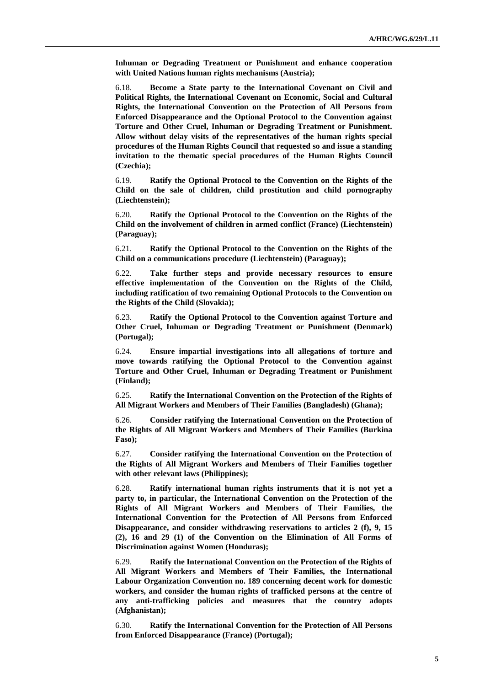**Inhuman or Degrading Treatment or Punishment and enhance cooperation with United Nations human rights mechanisms (Austria);**

6.18. **Become a State party to the International Covenant on Civil and Political Rights, the International Covenant on Economic, Social and Cultural Rights, the International Convention on the Protection of All Persons from Enforced Disappearance and the Optional Protocol to the Convention against Torture and Other Cruel, Inhuman or Degrading Treatment or Punishment. Allow without delay visits of the representatives of the human rights special procedures of the Human Rights Council that requested so and issue a standing invitation to the thematic special procedures of the Human Rights Council (Czechia);**

6.19. **Ratify the Optional Protocol to the Convention on the Rights of the Child on the sale of children, child prostitution and child pornography (Liechtenstein);**

6.20. **Ratify the Optional Protocol to the Convention on the Rights of the Child on the involvement of children in armed conflict (France) (Liechtenstein) (Paraguay);**

6.21. **Ratify the Optional Protocol to the Convention on the Rights of the Child on a communications procedure (Liechtenstein) (Paraguay);**

6.22. **Take further steps and provide necessary resources to ensure effective implementation of the Convention on the Rights of the Child, including ratification of two remaining Optional Protocols to the Convention on the Rights of the Child (Slovakia);**

6.23. **Ratify the Optional Protocol to the Convention against Torture and Other Cruel, Inhuman or Degrading Treatment or Punishment (Denmark) (Portugal);**

6.24. **Ensure impartial investigations into all allegations of torture and move towards ratifying the Optional Protocol to the Convention against Torture and Other Cruel, Inhuman or Degrading Treatment or Punishment (Finland);**

6.25. **Ratify the International Convention on the Protection of the Rights of All Migrant Workers and Members of Their Families (Bangladesh) (Ghana);**

6.26. **Consider ratifying the International Convention on the Protection of the Rights of All Migrant Workers and Members of Their Families (Burkina Faso);**

6.27. **Consider ratifying the International Convention on the Protection of the Rights of All Migrant Workers and Members of Their Families together with other relevant laws (Philippines);**

6.28. **Ratify international human rights instruments that it is not yet a party to, in particular, the International Convention on the Protection of the Rights of All Migrant Workers and Members of Their Families, the International Convention for the Protection of All Persons from Enforced Disappearance, and consider withdrawing reservations to articles 2 (f), 9, 15 (2), 16 and 29 (1) of the Convention on the Elimination of All Forms of Discrimination against Women (Honduras);**

6.29. **Ratify the International Convention on the Protection of the Rights of All Migrant Workers and Members of Their Families, the International Labour Organization Convention no. 189 concerning decent work for domestic workers, and consider the human rights of trafficked persons at the centre of any anti-trafficking policies and measures that the country adopts (Afghanistan);**

6.30. **Ratify the International Convention for the Protection of All Persons from Enforced Disappearance (France) (Portugal);**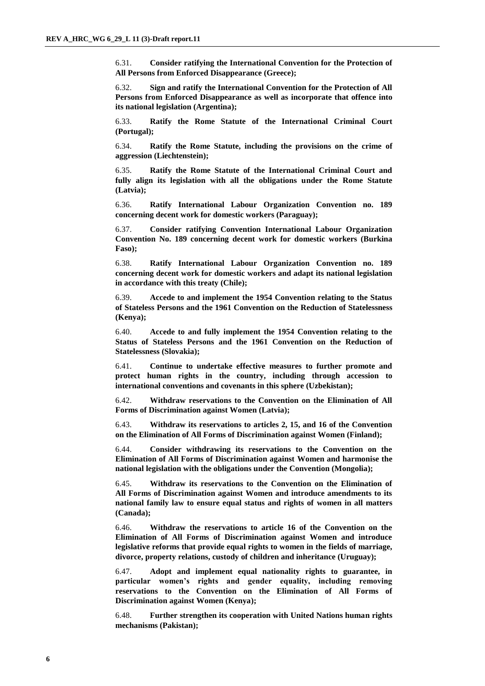6.31. **Consider ratifying the International Convention for the Protection of All Persons from Enforced Disappearance (Greece);**

6.32. **Sign and ratify the International Convention for the Protection of All Persons from Enforced Disappearance as well as incorporate that offence into its national legislation (Argentina);**

6.33. **Ratify the Rome Statute of the International Criminal Court (Portugal);**

6.34. **Ratify the Rome Statute, including the provisions on the crime of aggression (Liechtenstein);**

6.35. **Ratify the Rome Statute of the International Criminal Court and fully align its legislation with all the obligations under the Rome Statute (Latvia);**

6.36. **Ratify International Labour Organization Convention no. 189 concerning decent work for domestic workers (Paraguay);**

6.37. **Consider ratifying Convention International Labour Organization Convention No. 189 concerning decent work for domestic workers (Burkina Faso);**

6.38. **Ratify International Labour Organization Convention no. 189 concerning decent work for domestic workers and adapt its national legislation in accordance with this treaty (Chile);**

6.39. **Accede to and implement the 1954 Convention relating to the Status of Stateless Persons and the 1961 Convention on the Reduction of Statelessness (Kenya);**

6.40. **Accede to and fully implement the 1954 Convention relating to the Status of Stateless Persons and the 1961 Convention on the Reduction of Statelessness (Slovakia);**

6.41. **Continue to undertake effective measures to further promote and protect human rights in the country, including through accession to international conventions and covenants in this sphere (Uzbekistan);**

6.42. **Withdraw reservations to the Convention on the Elimination of All Forms of Discrimination against Women (Latvia);**

6.43. **Withdraw its reservations to articles 2, 15, and 16 of the Convention on the Elimination of All Forms of Discrimination against Women (Finland);**

6.44. **Consider withdrawing its reservations to the Convention on the Elimination of All Forms of Discrimination against Women and harmonise the national legislation with the obligations under the Convention (Mongolia);**

6.45. **Withdraw its reservations to the Convention on the Elimination of All Forms of Discrimination against Women and introduce amendments to its national family law to ensure equal status and rights of women in all matters (Canada);**

6.46. **Withdraw the reservations to article 16 of the Convention on the Elimination of All Forms of Discrimination against Women and introduce legislative reforms that provide equal rights to women in the fields of marriage, divorce, property relations, custody of children and inheritance (Uruguay);**

6.47. **Adopt and implement equal nationality rights to guarantee, in particular women's rights and gender equality, including removing reservations to the Convention on the Elimination of All Forms of Discrimination against Women (Kenya);**

6.48. **Further strengthen its cooperation with United Nations human rights mechanisms (Pakistan);**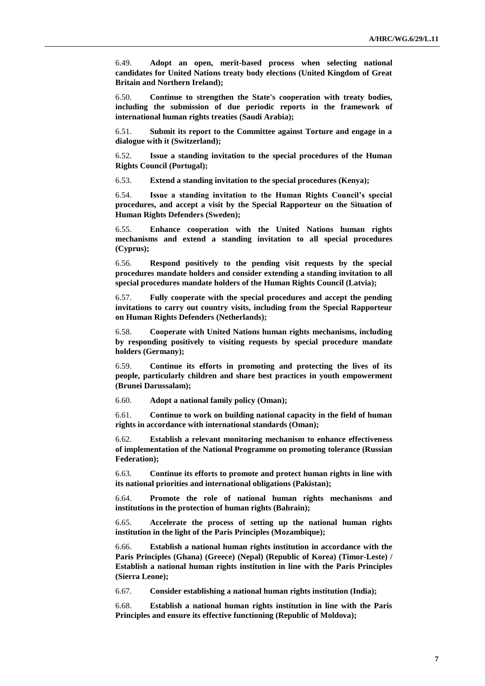6.49. **Adopt an open, merit-based process when selecting national candidates for United Nations treaty body elections (United Kingdom of Great Britain and Northern Ireland);**

6.50. **Continue to strengthen the State's cooperation with treaty bodies, including the submission of due periodic reports in the framework of international human rights treaties (Saudi Arabia);**

6.51. **Submit its report to the Committee against Torture and engage in a dialogue with it (Switzerland);**

6.52. **Issue a standing invitation to the special procedures of the Human Rights Council (Portugal);**

6.53. **Extend a standing invitation to the special procedures (Kenya);**

6.54. **Issue a standing invitation to the Human Rights Council's special procedures, and accept a visit by the Special Rapporteur on the Situation of Human Rights Defenders (Sweden);**

6.55. **Enhance cooperation with the United Nations human rights mechanisms and extend a standing invitation to all special procedures (Cyprus);**

6.56. **Respond positively to the pending visit requests by the special procedures mandate holders and consider extending a standing invitation to all special procedures mandate holders of the Human Rights Council (Latvia);**

6.57. **Fully cooperate with the special procedures and accept the pending invitations to carry out country visits, including from the Special Rapporteur on Human Rights Defenders (Netherlands);**

6.58. **Cooperate with United Nations human rights mechanisms, including by responding positively to visiting requests by special procedure mandate holders (Germany);**

6.59. **Continue its efforts in promoting and protecting the lives of its people, particularly children and share best practices in youth empowerment (Brunei Darussalam);**

6.60. **Adopt a national family policy (Oman);**

6.61. **Continue to work on building national capacity in the field of human rights in accordance with international standards (Oman);**

6.62. **Establish a relevant monitoring mechanism to enhance effectiveness of implementation of the National Programme on promoting tolerance (Russian Federation);**

6.63. **Continue its efforts to promote and protect human rights in line with its national priorities and international obligations (Pakistan);**

6.64. **Promote the role of national human rights mechanisms and institutions in the protection of human rights (Bahrain);**

6.65. **Accelerate the process of setting up the national human rights institution in the light of the Paris Principles (Mozambique);**

6.66. **Establish a national human rights institution in accordance with the Paris Principles (Ghana) (Greece) (Nepal) (Republic of Korea) (Timor-Leste) / Establish a national human rights institution in line with the Paris Principles (Sierra Leone);**

6.67. **Consider establishing a national human rights institution (India);**

6.68. **Establish a national human rights institution in line with the Paris Principles and ensure its effective functioning (Republic of Moldova);**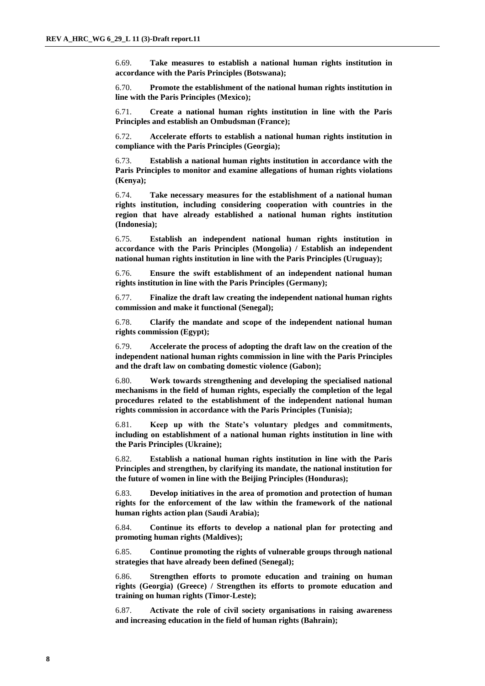6.69. **Take measures to establish a national human rights institution in accordance with the Paris Principles (Botswana);**

6.70. **Promote the establishment of the national human rights institution in line with the Paris Principles (Mexico);**

6.71. **Create a national human rights institution in line with the Paris Principles and establish an Ombudsman (France);**

6.72. **Accelerate efforts to establish a national human rights institution in compliance with the Paris Principles (Georgia);**

6.73. **Establish a national human rights institution in accordance with the Paris Principles to monitor and examine allegations of human rights violations (Kenya);**

6.74. **Take necessary measures for the establishment of a national human rights institution, including considering cooperation with countries in the region that have already established a national human rights institution (Indonesia);**

6.75. **Establish an independent national human rights institution in accordance with the Paris Principles (Mongolia) / Establish an independent national human rights institution in line with the Paris Principles (Uruguay);**

6.76. **Ensure the swift establishment of an independent national human rights institution in line with the Paris Principles (Germany);**

6.77. **Finalize the draft law creating the independent national human rights commission and make it functional (Senegal);**

6.78. **Clarify the mandate and scope of the independent national human rights commission (Egypt);**

6.79. **Accelerate the process of adopting the draft law on the creation of the independent national human rights commission in line with the Paris Principles and the draft law on combating domestic violence (Gabon);**

6.80. **Work towards strengthening and developing the specialised national mechanisms in the field of human rights, especially the completion of the legal procedures related to the establishment of the independent national human rights commission in accordance with the Paris Principles (Tunisia);**

6.81. **Keep up with the State's voluntary pledges and commitments, including on establishment of a national human rights institution in line with the Paris Principles (Ukraine);**

6.82. **Establish a national human rights institution in line with the Paris Principles and strengthen, by clarifying its mandate, the national institution for the future of women in line with the Beijing Principles (Honduras);**

6.83. **Develop initiatives in the area of promotion and protection of human rights for the enforcement of the law within the framework of the national human rights action plan (Saudi Arabia);**

6.84. **Continue its efforts to develop a national plan for protecting and promoting human rights (Maldives);**

6.85. **Continue promoting the rights of vulnerable groups through national strategies that have already been defined (Senegal);**

6.86. **Strengthen efforts to promote education and training on human rights (Georgia) (Greece) / Strengthen its efforts to promote education and training on human rights (Timor-Leste);**

6.87. **Activate the role of civil society organisations in raising awareness and increasing education in the field of human rights (Bahrain);**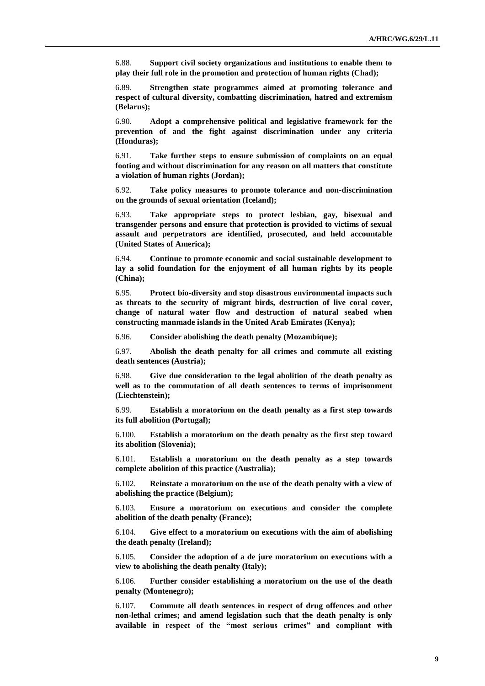6.88. **Support civil society organizations and institutions to enable them to play their full role in the promotion and protection of human rights (Chad);**

6.89. **Strengthen state programmes aimed at promoting tolerance and respect of cultural diversity, combatting discrimination, hatred and extremism (Belarus);**

6.90. **Adopt a comprehensive political and legislative framework for the prevention of and the fight against discrimination under any criteria (Honduras);**

6.91. **Take further steps to ensure submission of complaints on an equal footing and without discrimination for any reason on all matters that constitute a violation of human rights (Jordan);**

6.92. **Take policy measures to promote tolerance and non-discrimination on the grounds of sexual orientation (Iceland);**

6.93. **Take appropriate steps to protect lesbian, gay, bisexual and transgender persons and ensure that protection is provided to victims of sexual assault and perpetrators are identified, prosecuted, and held accountable (United States of America);**

6.94. **Continue to promote economic and social sustainable development to lay a solid foundation for the enjoyment of all human rights by its people (China);**

6.95. **Protect bio-diversity and stop disastrous environmental impacts such as threats to the security of migrant birds, destruction of live coral cover, change of natural water flow and destruction of natural seabed when constructing manmade islands in the United Arab Emirates (Kenya);**

6.96. **Consider abolishing the death penalty (Mozambique);**

6.97. **Abolish the death penalty for all crimes and commute all existing death sentences (Austria);**

6.98. **Give due consideration to the legal abolition of the death penalty as well as to the commutation of all death sentences to terms of imprisonment (Liechtenstein);**

6.99. **Establish a moratorium on the death penalty as a first step towards its full abolition (Portugal);**

6.100. **Establish a moratorium on the death penalty as the first step toward its abolition (Slovenia);**

6.101. **Establish a moratorium on the death penalty as a step towards complete abolition of this practice (Australia);**

6.102. **Reinstate a moratorium on the use of the death penalty with a view of abolishing the practice (Belgium);**

6.103. **Ensure a moratorium on executions and consider the complete abolition of the death penalty (France);**

6.104. **Give effect to a moratorium on executions with the aim of abolishing the death penalty (Ireland);**

6.105. **Consider the adoption of a de jure moratorium on executions with a view to abolishing the death penalty (Italy);**

6.106. **Further consider establishing a moratorium on the use of the death penalty (Montenegro);**

6.107. **Commute all death sentences in respect of drug offences and other non-lethal crimes; and amend legislation such that the death penalty is only available in respect of the "most serious crimes" and compliant with**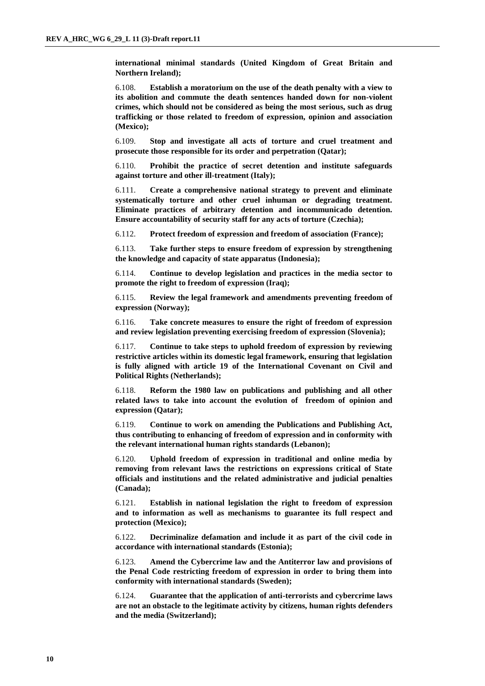**international minimal standards (United Kingdom of Great Britain and Northern Ireland);**

6.108. **Establish a moratorium on the use of the death penalty with a view to its abolition and commute the death sentences handed down for non-violent crimes, which should not be considered as being the most serious, such as drug trafficking or those related to freedom of expression, opinion and association (Mexico);**

6.109. **Stop and investigate all acts of torture and cruel treatment and prosecute those responsible for its order and perpetration (Qatar);**

6.110. **Prohibit the practice of secret detention and institute safeguards against torture and other ill-treatment (Italy);**

6.111. **Create a comprehensive national strategy to prevent and eliminate systematically torture and other cruel inhuman or degrading treatment. Eliminate practices of arbitrary detention and incommunicado detention. Ensure accountability of security staff for any acts of torture (Czechia);**

6.112. **Protect freedom of expression and freedom of association (France);**

6.113. **Take further steps to ensure freedom of expression by strengthening the knowledge and capacity of state apparatus (Indonesia);**

6.114. **Continue to develop legislation and practices in the media sector to promote the right to freedom of expression (Iraq);**

6.115. **Review the legal framework and amendments preventing freedom of expression (Norway);**

6.116. **Take concrete measures to ensure the right of freedom of expression and review legislation preventing exercising freedom of expression (Slovenia);**

6.117. **Continue to take steps to uphold freedom of expression by reviewing restrictive articles within its domestic legal framework, ensuring that legislation is fully aligned with article 19 of the International Covenant on Civil and Political Rights (Netherlands);**

6.118. **Reform the 1980 law on publications and publishing and all other related laws to take into account the evolution of freedom of opinion and expression (Qatar);**

6.119. **Continue to work on amending the Publications and Publishing Act, thus contributing to enhancing of freedom of expression and in conformity with the relevant international human rights standards (Lebanon);**

6.120. **Uphold freedom of expression in traditional and online media by removing from relevant laws the restrictions on expressions critical of State officials and institutions and the related administrative and judicial penalties (Canada);**

6.121. **Establish in national legislation the right to freedom of expression and to information as well as mechanisms to guarantee its full respect and protection (Mexico);**

6.122. **Decriminalize defamation and include it as part of the civil code in accordance with international standards (Estonia);**

6.123. **Amend the Cybercrime law and the Antiterror law and provisions of the Penal Code restricting freedom of expression in order to bring them into conformity with international standards (Sweden);**

6.124. **Guarantee that the application of anti-terrorists and cybercrime laws are not an obstacle to the legitimate activity by citizens, human rights defenders and the media (Switzerland);**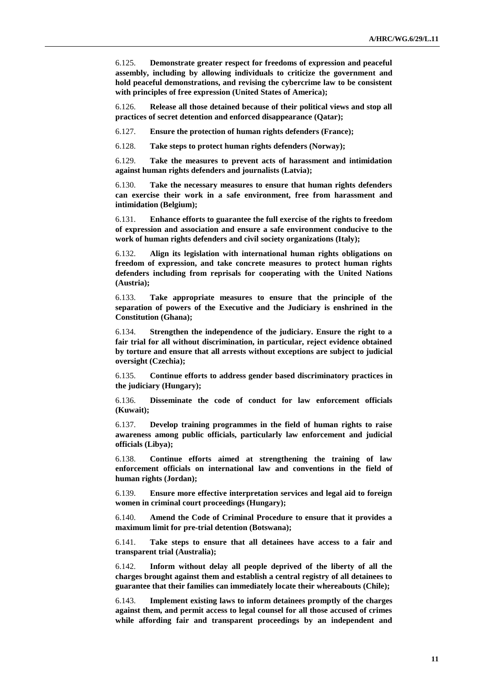6.125. **Demonstrate greater respect for freedoms of expression and peaceful assembly, including by allowing individuals to criticize the government and hold peaceful demonstrations, and revising the cybercrime law to be consistent with principles of free expression (United States of America);**

6.126. **Release all those detained because of their political views and stop all practices of secret detention and enforced disappearance (Qatar);**

6.127. **Ensure the protection of human rights defenders (France);**

6.128. **Take steps to protect human rights defenders (Norway);**

6.129. **Take the measures to prevent acts of harassment and intimidation against human rights defenders and journalists (Latvia);**

6.130. **Take the necessary measures to ensure that human rights defenders can exercise their work in a safe environment, free from harassment and intimidation (Belgium);**

6.131. **Enhance efforts to guarantee the full exercise of the rights to freedom of expression and association and ensure a safe environment conducive to the work of human rights defenders and civil society organizations (Italy);**

6.132. **Align its legislation with international human rights obligations on freedom of expression, and take concrete measures to protect human rights defenders including from reprisals for cooperating with the United Nations (Austria);**

6.133. **Take appropriate measures to ensure that the principle of the separation of powers of the Executive and the Judiciary is enshrined in the Constitution (Ghana);**

6.134. **Strengthen the independence of the judiciary. Ensure the right to a fair trial for all without discrimination, in particular, reject evidence obtained by torture and ensure that all arrests without exceptions are subject to judicial oversight (Czechia);**

6.135. **Continue efforts to address gender based discriminatory practices in the judiciary (Hungary);**

6.136. **Disseminate the code of conduct for law enforcement officials (Kuwait);**

6.137. **Develop training programmes in the field of human rights to raise awareness among public officials, particularly law enforcement and judicial officials (Libya);**

6.138. **Continue efforts aimed at strengthening the training of law enforcement officials on international law and conventions in the field of human rights (Jordan);**

6.139. **Ensure more effective interpretation services and legal aid to foreign women in criminal court proceedings (Hungary);**

6.140. **Amend the Code of Criminal Procedure to ensure that it provides a maximum limit for pre-trial detention (Botswana);**

6.141. **Take steps to ensure that all detainees have access to a fair and transparent trial (Australia);**

6.142. **Inform without delay all people deprived of the liberty of all the charges brought against them and establish a central registry of all detainees to guarantee that their families can immediately locate their whereabouts (Chile);**

6.143. **Implement existing laws to inform detainees promptly of the charges against them, and permit access to legal counsel for all those accused of crimes while affording fair and transparent proceedings by an independent and**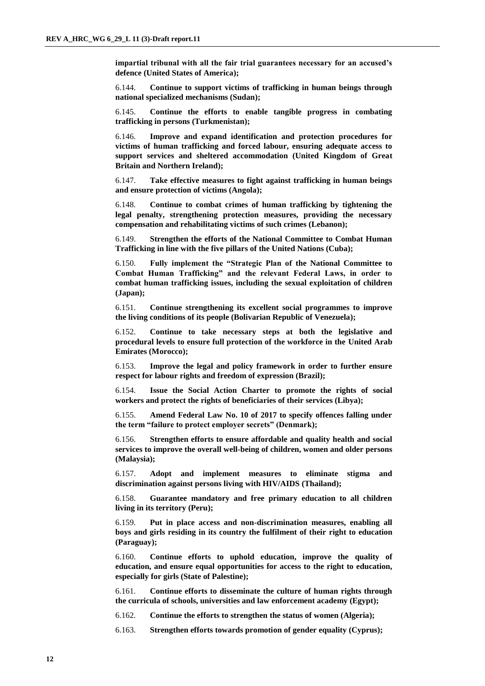**impartial tribunal with all the fair trial guarantees necessary for an accused's defence (United States of America);**

6.144. **Continue to support victims of trafficking in human beings through national specialized mechanisms (Sudan);**

6.145. **Continue the efforts to enable tangible progress in combating trafficking in persons (Turkmenistan);**

6.146. **Improve and expand identification and protection procedures for victims of human trafficking and forced labour, ensuring adequate access to support services and sheltered accommodation (United Kingdom of Great Britain and Northern Ireland);**

6.147. **Take effective measures to fight against trafficking in human beings and ensure protection of victims (Angola);**

6.148. **Continue to combat crimes of human trafficking by tightening the legal penalty, strengthening protection measures, providing the necessary compensation and rehabilitating victims of such crimes (Lebanon);**

6.149. **Strengthen the efforts of the National Committee to Combat Human Trafficking in line with the five pillars of the United Nations (Cuba);**

6.150. **Fully implement the "Strategic Plan of the National Committee to Combat Human Trafficking" and the relevant Federal Laws, in order to combat human trafficking issues, including the sexual exploitation of children (Japan);**

6.151. **Continue strengthening its excellent social programmes to improve the living conditions of its people (Bolivarian Republic of Venezuela);**

6.152. **Continue to take necessary steps at both the legislative and procedural levels to ensure full protection of the workforce in the United Arab Emirates (Morocco);**

6.153. **Improve the legal and policy framework in order to further ensure respect for labour rights and freedom of expression (Brazil);**

6.154. **Issue the Social Action Charter to promote the rights of social workers and protect the rights of beneficiaries of their services (Libya);**

6.155. **Amend Federal Law No. 10 of 2017 to specify offences falling under the term "failure to protect employer secrets" (Denmark);**

6.156. **Strengthen efforts to ensure affordable and quality health and social services to improve the overall well-being of children, women and older persons (Malaysia);**

6.157. **Adopt and implement measures to eliminate stigma and discrimination against persons living with HIV/AIDS (Thailand);**

6.158. **Guarantee mandatory and free primary education to all children living in its territory (Peru);**

6.159. **Put in place access and non-discrimination measures, enabling all boys and girls residing in its country the fulfilment of their right to education (Paraguay);**

6.160. **Continue efforts to uphold education, improve the quality of education, and ensure equal opportunities for access to the right to education, especially for girls (State of Palestine);**

6.161. **Continue efforts to disseminate the culture of human rights through the curricula of schools, universities and law enforcement academy (Egypt);**

6.162. **Continue the efforts to strengthen the status of women (Algeria);**

6.163. **Strengthen efforts towards promotion of gender equality (Cyprus);**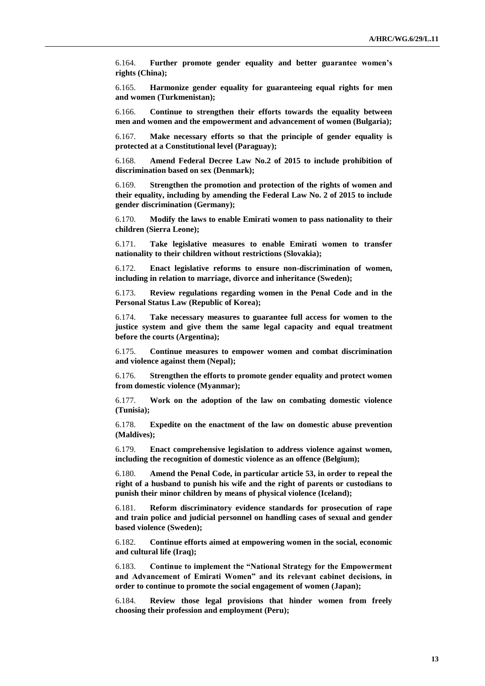6.164. **Further promote gender equality and better guarantee women's rights (China);**

6.165. **Harmonize gender equality for guaranteeing equal rights for men and women (Turkmenistan);**

6.166. **Continue to strengthen their efforts towards the equality between men and women and the empowerment and advancement of women (Bulgaria);**

6.167. **Make necessary efforts so that the principle of gender equality is protected at a Constitutional level (Paraguay);**

6.168. **Amend Federal Decree Law No.2 of 2015 to include prohibition of discrimination based on sex (Denmark);**

6.169. **Strengthen the promotion and protection of the rights of women and their equality, including by amending the Federal Law No. 2 of 2015 to include gender discrimination (Germany);**

6.170. **Modify the laws to enable Emirati women to pass nationality to their children (Sierra Leone);**

6.171. **Take legislative measures to enable Emirati women to transfer nationality to their children without restrictions (Slovakia);**

6.172. **Enact legislative reforms to ensure non-discrimination of women, including in relation to marriage, divorce and inheritance (Sweden);**

6.173. **Review regulations regarding women in the Penal Code and in the Personal Status Law (Republic of Korea);**

6.174. **Take necessary measures to guarantee full access for women to the justice system and give them the same legal capacity and equal treatment before the courts (Argentina);**

6.175. **Continue measures to empower women and combat discrimination and violence against them (Nepal);**

6.176. **Strengthen the efforts to promote gender equality and protect women from domestic violence (Myanmar);**

6.177. **Work on the adoption of the law on combating domestic violence (Tunisia);**

6.178. **Expedite on the enactment of the law on domestic abuse prevention (Maldives);**

6.179. **Enact comprehensive legislation to address violence against women, including the recognition of domestic violence as an offence (Belgium);**

6.180. **Amend the Penal Code, in particular article 53, in order to repeal the right of a husband to punish his wife and the right of parents or custodians to punish their minor children by means of physical violence (Iceland);**

6.181. **Reform discriminatory evidence standards for prosecution of rape and train police and judicial personnel on handling cases of sexual and gender based violence (Sweden);**

6.182. **Continue efforts aimed at empowering women in the social, economic and cultural life (Iraq);**

6.183. **Continue to implement the "National Strategy for the Empowerment and Advancement of Emirati Women" and its relevant cabinet decisions, in order to continue to promote the social engagement of women (Japan);**

6.184. **Review those legal provisions that hinder women from freely choosing their profession and employment (Peru);**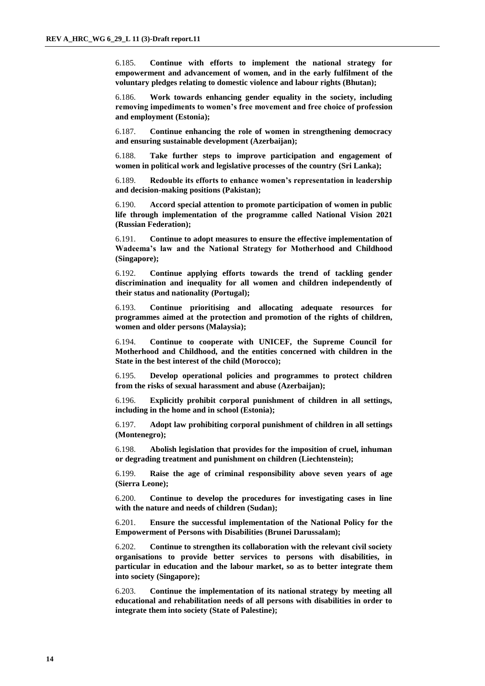6.185. **Continue with efforts to implement the national strategy for empowerment and advancement of women, and in the early fulfilment of the voluntary pledges relating to domestic violence and labour rights (Bhutan);**

6.186. **Work towards enhancing gender equality in the society, including removing impediments to women's free movement and free choice of profession and employment (Estonia);**

6.187. **Continue enhancing the role of women in strengthening democracy and ensuring sustainable development (Azerbaijan);**

6.188. **Take further steps to improve participation and engagement of women in political work and legislative processes of the country (Sri Lanka);**

6.189. **Redouble its efforts to enhance women's representation in leadership and decision-making positions (Pakistan);**

6.190. **Accord special attention to promote participation of women in public life through implementation of the programme called National Vision 2021 (Russian Federation);**

6.191. **Continue to adopt measures to ensure the effective implementation of Wadeema's law and the National Strategy for Motherhood and Childhood (Singapore);**

6.192. **Continue applying efforts towards the trend of tackling gender discrimination and inequality for all women and children independently of their status and nationality (Portugal);**

6.193. **Continue prioritising and allocating adequate resources for programmes aimed at the protection and promotion of the rights of children, women and older persons (Malaysia);**

6.194. **Continue to cooperate with UNICEF, the Supreme Council for Motherhood and Childhood, and the entities concerned with children in the State in the best interest of the child (Morocco);**

6.195. **Develop operational policies and programmes to protect children from the risks of sexual harassment and abuse (Azerbaijan);**

6.196. **Explicitly prohibit corporal punishment of children in all settings, including in the home and in school (Estonia);**

6.197. **Adopt law prohibiting corporal punishment of children in all settings (Montenegro);**

6.198. **Abolish legislation that provides for the imposition of cruel, inhuman or degrading treatment and punishment on children (Liechtenstein);**

6.199. **Raise the age of criminal responsibility above seven years of age (Sierra Leone);**

6.200. **Continue to develop the procedures for investigating cases in line with the nature and needs of children (Sudan);**

6.201. **Ensure the successful implementation of the National Policy for the Empowerment of Persons with Disabilities (Brunei Darussalam);**

6.202. **Continue to strengthen its collaboration with the relevant civil society organisations to provide better services to persons with disabilities, in particular in education and the labour market, so as to better integrate them into society (Singapore);**

6.203. **Continue the implementation of its national strategy by meeting all educational and rehabilitation needs of all persons with disabilities in order to integrate them into society (State of Palestine);**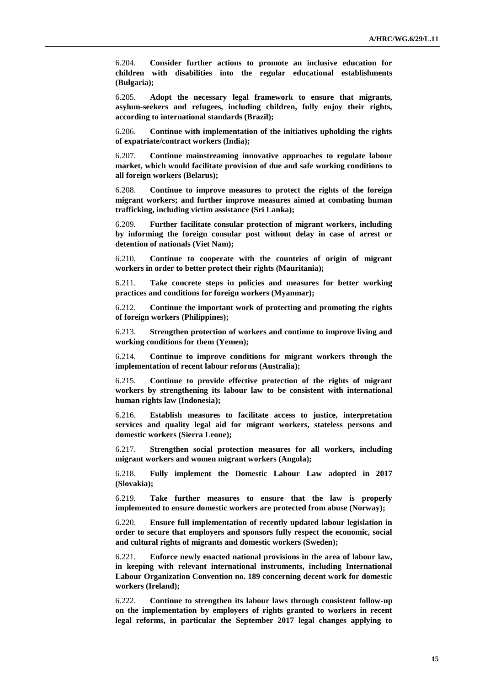6.204. **Consider further actions to promote an inclusive education for children with disabilities into the regular educational establishments (Bulgaria);**

6.205. **Adopt the necessary legal framework to ensure that migrants, asylum-seekers and refugees, including children, fully enjoy their rights, according to international standards (Brazil);**

6.206. **Continue with implementation of the initiatives upholding the rights of expatriate/contract workers (India);**

6.207. **Continue mainstreaming innovative approaches to regulate labour market, which would facilitate provision of due and safe working conditions to all foreign workers (Belarus);**

6.208. **Continue to improve measures to protect the rights of the foreign migrant workers; and further improve measures aimed at combating human trafficking, including victim assistance (Sri Lanka);**

6.209. **Further facilitate consular protection of migrant workers, including by informing the foreign consular post without delay in case of arrest or detention of nationals (Viet Nam);**

6.210. **Continue to cooperate with the countries of origin of migrant workers in order to better protect their rights (Mauritania);**

6.211. **Take concrete steps in policies and measures for better working practices and conditions for foreign workers (Myanmar);**

6.212. **Continue the important work of protecting and promoting the rights of foreign workers (Philippines);**

6.213. **Strengthen protection of workers and continue to improve living and working conditions for them (Yemen);**

6.214. **Continue to improve conditions for migrant workers through the implementation of recent labour reforms (Australia);**

6.215. **Continue to provide effective protection of the rights of migrant workers by strengthening its labour law to be consistent with international human rights law (Indonesia);**

6.216. **Establish measures to facilitate access to justice, interpretation services and quality legal aid for migrant workers, stateless persons and domestic workers (Sierra Leone);**

6.217. **Strengthen social protection measures for all workers, including migrant workers and women migrant workers (Angola);**

6.218. **Fully implement the Domestic Labour Law adopted in 2017 (Slovakia);**

6.219. **Take further measures to ensure that the law is properly implemented to ensure domestic workers are protected from abuse (Norway);**

6.220. **Ensure full implementation of recently updated labour legislation in order to secure that employers and sponsors fully respect the economic, social and cultural rights of migrants and domestic workers (Sweden);**

6.221. **Enforce newly enacted national provisions in the area of labour law, in keeping with relevant international instruments, including International Labour Organization Convention no. 189 concerning decent work for domestic workers (Ireland);**

6.222. **Continue to strengthen its labour laws through consistent follow-up on the implementation by employers of rights granted to workers in recent legal reforms, in particular the September 2017 legal changes applying to**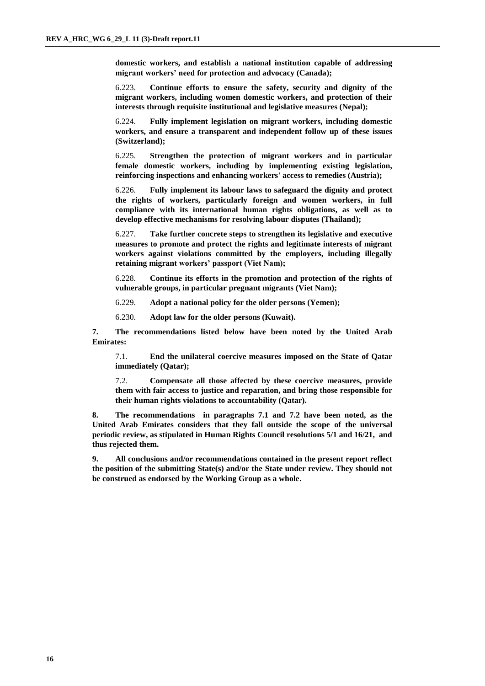**domestic workers, and establish a national institution capable of addressing migrant workers' need for protection and advocacy (Canada);**

6.223. **Continue efforts to ensure the safety, security and dignity of the migrant workers, including women domestic workers, and protection of their interests through requisite institutional and legislative measures (Nepal);**

6.224. **Fully implement legislation on migrant workers, including domestic workers, and ensure a transparent and independent follow up of these issues (Switzerland);**

6.225. **Strengthen the protection of migrant workers and in particular female domestic workers, including by implementing existing legislation, reinforcing inspections and enhancing workers' access to remedies (Austria);**

6.226. **Fully implement its labour laws to safeguard the dignity and protect the rights of workers, particularly foreign and women workers, in full compliance with its international human rights obligations, as well as to develop effective mechanisms for resolving labour disputes (Thailand);**

6.227. **Take further concrete steps to strengthen its legislative and executive measures to promote and protect the rights and legitimate interests of migrant workers against violations committed by the employers, including illegally retaining migrant workers' passport (Viet Nam);**

6.228. **Continue its efforts in the promotion and protection of the rights of vulnerable groups, in particular pregnant migrants (Viet Nam);**

6.229. **Adopt a national policy for the older persons (Yemen);**

6.230. **Adopt law for the older persons (Kuwait).**

**7. The recommendations listed below have been noted by the United Arab Emirates:**

7.1. **End the unilateral coercive measures imposed on the State of Qatar immediately (Qatar);**

7.2. **Compensate all those affected by these coercive measures, provide them with fair access to justice and reparation, and bring those responsible for their human rights violations to accountability (Qatar).**

**8. The recommendations in paragraphs 7.1 and 7.2 have been noted, as the United Arab Emirates considers that they fall outside the scope of the universal periodic review, as stipulated in Human Rights Council resolutions 5/1 and 16/21, and thus rejected them.**

**9. All conclusions and/or recommendations contained in the present report reflect the position of the submitting State(s) and/or the State under review. They should not be construed as endorsed by the Working Group as a whole.**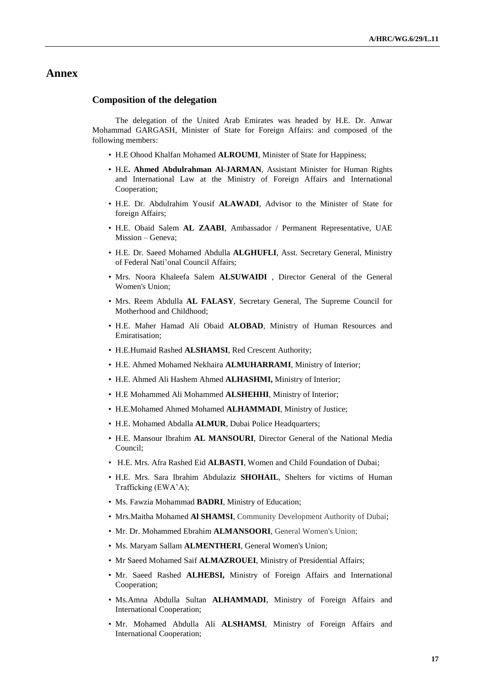# **Annex**

#### **Composition of the delegation**

The delegation of the United Arab Emirates was headed by H.E. Dr. Anwar Mohammad GARGASH, Minister of State for Foreign Affairs: and composed of the following members:

- H.E Ohood Khalfan Mohamed **ALROUMI**, Minister of State for Happiness;
- H.E**. Ahmed Abdulrahman Al-JARMAN**, Assistant Minister for Human Rights and International Law at the Ministry of Foreign Affairs and International Cooperation;
- H.E. Dr. Abdulrahim Yousif **ALAWADI**, Advisor to the Minister of State for foreign Affairs;
- H.E. Obaid Salem **AL ZAABI**, Ambassador / Permanent Representative, UAE Mission – Geneva;
- H.E. Dr. Saeed Mohamed Abdulla **ALGHUFLI**, Asst. Secretary General, Ministry of Federal Nati'onal Council Affairs;
- Mrs. Noora Khaleefa Salem **ALSUWAIDI** , Director General of the General Women's Union;
- Mrs. Reem Abdulla **AL FALASY**, Secretary General, The Supreme Council for Motherhood and Childhood;
- H.E. Maher Hamad Ali Obaid **ALOBAD**, Ministry of Human Resources and Emiratisation;
- H.E.Humaid Rashed **ALSHAMSI**, Red Crescent Authority;
- H.E. Ahmed Mohamed Nekhaira **ALMUHARRAMI**, Ministry of Interior;
- H.E. Ahmed Ali Hashem Ahmed **ALHASHMI,** Ministry of Interior;
- H.E Mohammed Ali Mohammed **ALSHEHHI**, Ministry of Interior;
- H.E.Mohamed Ahmed Mohamed **ALHAMMADI**, Ministry of Justice;
- H.E. Mohamed Abdalla **ALMUR**, Dubai Police Headquarters;
- H.E. Mansour Ibrahim **AL MANSOURI**, Director General of the National Media Council;
- H.E. Mrs. Afra Rashed Eid **ALBASTI**, Women and Child Foundation of Dubai;
- H.E. Mrs. Sara Ibrahim Abdulaziz **SHOHAIL**, Shelters for victims of Human Trafficking (EWA'A);
- Ms. Fawzia Mohammad **BADRI**, Ministry of Education;
- Mrs.Maitha Mohamed **Al SHAMSI**, Community Development Authority of Dubai;
- Mr. Dr. Mohammed Ebrahim **ALMANSOORI**, General Women's Union;
- Ms. Maryam Sallam **ALMENTHERI**, General Women's Union;
- Mr Saeed Mohamed Saif **ALMAZROUEI**, Ministry of Presidential Affairs;
- Mr. Saeed Rashed **ALHEBSI,** Ministry of Foreign Affairs and International Cooperation;
- Ms.Amna Abdulla Sultan **ALHAMMADI**, Ministry of Foreign Affairs and International Cooperation;
- Mr. Mohamed Abdulla Ali **ALSHAMSI**, Ministry of Foreign Affairs and International Cooperation;